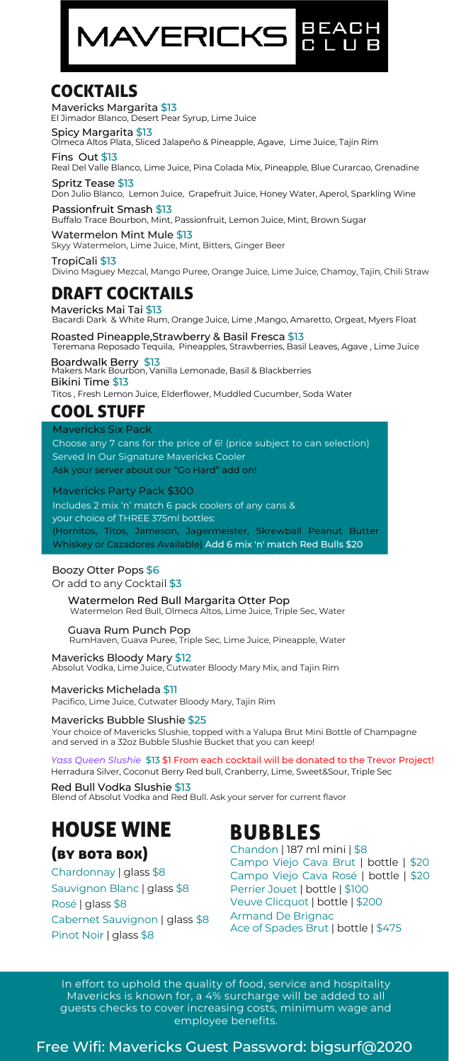# **MAVERICKS**

#### **COCKTAILS**

Mavericks Margarita \$13 El Jimador Blanco, Desert Pear Syrup, Lime Juice

**Spicy Margarita \$13**<br>Olmeca Altos Plata, Sliced Jalapeño & Pineapple, Agave, Lime Juice, Tajín Rim

Real Del Valle Blanco, Lime Juice, Pina Colada Mix, Pineapple, Blue Curarcao, Grenadine Fins Out \$13 Spritz Tease \$13

Don Julio Blanco, Lemon Juice, Grapefruit Juice, Honey Water, Aperol, Sparkling Wine

Buffalo Trace Bourbon, Mint, Passionfruit, Lemon Juice, Mint, Brown Sugar Passionfruit Smash \$13 Watermelon Mint Mule \$13

Skyy Watermelon, Lime Juice, Mint, Bitters, Ginger Beer

TropiCali \$13 Divino Maguey Mezcal, Mango Puree, Orange Juice, Lime Juice, Chamoy, Tajin, Chili Straw

#### DRAFT COCKTAILS

Mavericks Mai Tai \$13 Bacardi Dark & White Rum, Orange Juice, Lime ,Mango, Amaretto, Orgeat, Myers Float

Teremana Reposado Tequila, Pineapples, Strawberries, Basil Leaves, Agave , Lime Juice **Boardwalk Berry \$13**<br>Makers Mark Bourbon, Vanilla Lemonade, Basil & Blackberries Roasted Pineapple,Strawberry & Basil Fresca \$13 Bikini Time \$13 Titos , Fresh Lemon Juice, Elderflower, Muddled Cucumber, Soda Water

#### COOL STUFF

Mavericks Six Pack

Choose any 7 cans for the price of 6! (price subject to can selection) Served In Our Signature Mavericks Cooler Ask your server about our "Go Hard" add on!

Mavericks Party Pack \$300

Includes 2 mix 'n' match 6 pack coolers of any cans & your choice of THREE 375ml bottles: (Hornitos, Titos, Jameson, Jagermeister, Skrewball Peanut Butter Whiskey or Cazadores Available) Add 6 mix 'n' match Red Bulls \$20

#### Boozy Otter Pops \$6

Or add to any Cocktail \$3

Watermelon Red Bull Margarita Otter Pop Watermelon Red Bull, Olmeca Altos, Lime Juice, Triple Sec, Water

Guava Rum Punch Pop RumHaven, Guava Puree, Triple Sec, Lime Juice, Pineapple, Water

**Mavericks Bloody Mary \$12**<br>Absolut Vodka, Lime Juice, Cutwater Bloody Mary Mix, and Tajin Rim

Mavericks Michelada \$11

Pacifico, Lime Juice, Cutwater Bloody Mary, Tajin Rim

#### Mavericks Bubble Slushie \$25

Your choice of Mavericks Slushie, topped with a Yalupa Brut Mini Bottle of Champagne and served in a 32oz Bubble Slushie Bucket that you can keep!

Herradura Silver, Coconut Berry Red bull, Cranberry, Lime, Sweet&Sour, Triple Sec *Yass Queen Slushie* \$13 \$1 From each cocktail will be donated to the Trevor Project!

Blend of Absolut Vodka and Red Bull. Ask your server for current flavor Red Bull Vodka Slushie \$13

### HOUSE WINE BUBBLES

#### (by bota box)

Chardonnay | glass \$8 Sauvignon Blanc | glass \$8 Rosé | glass \$8 Cabernet Sauvignon | glass \$8 Pinot Noir | glass \$8

Chandon | 187 ml mini | \$8 Campo Viejo Cava Brut | bottle | \$20 Campo Viejo Cava Rosé | bottle | \$20 Perrier Jouet | bottle | \$100 Veuve Clicquot | bottle | \$200 Armand De Brignac Ace of Spades Brut | bottle | \$475

In effort to uphold the quality of food, service and hospitality Mavericks is known for, a 4% surcharge will be added to all guests checks to cover increasing costs, minimum wage and employee benefits.

Free Wifi: Mavericks Guest Password: bigsurf@2020